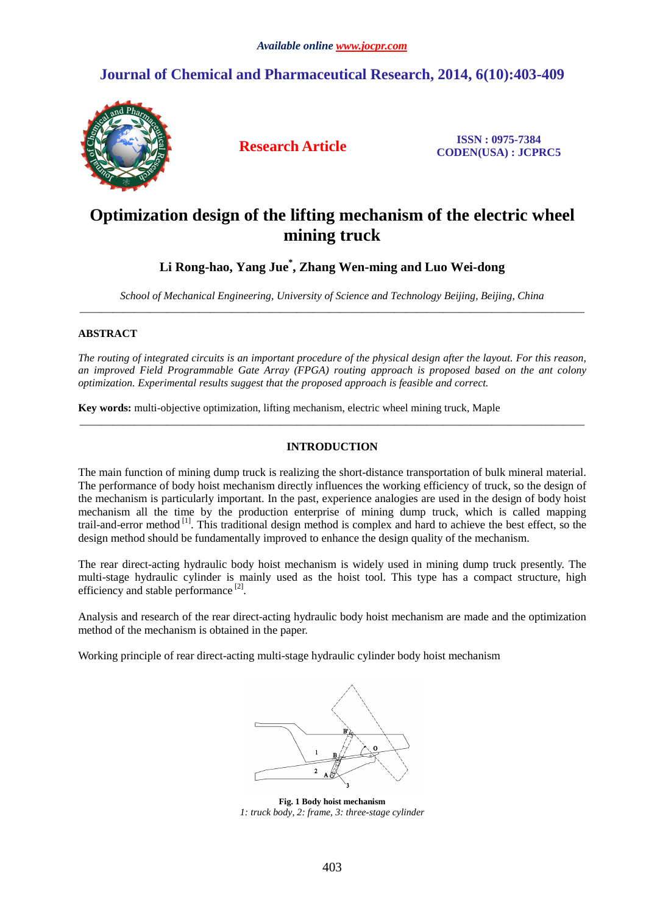# **Journal of Chemical and Pharmaceutical Research, 2014, 6(10):403-409**



**Research Article ISSN : 0975-7384 CODEN(USA) : JCPRC5**

# **Optimization design of the lifting mechanism of the electric wheel mining truck**

# **Li Rong-hao, Yang Jue\* , Zhang Wen-ming and Luo Wei-dong**

*School of Mechanical Engineering, University of Science and Technology Beijing, Beijing, China*  \_\_\_\_\_\_\_\_\_\_\_\_\_\_\_\_\_\_\_\_\_\_\_\_\_\_\_\_\_\_\_\_\_\_\_\_\_\_\_\_\_\_\_\_\_\_\_\_\_\_\_\_\_\_\_\_\_\_\_\_\_\_\_\_\_\_\_\_\_\_\_\_\_\_\_\_\_\_\_\_\_\_\_\_\_\_\_\_\_\_\_\_\_

### **ABSTRACT**

*The routing of integrated circuits is an important procedure of the physical design after the layout. For this reason, an improved Field Programmable Gate Array (FPGA) routing approach is proposed based on the ant colony optimization. Experimental results suggest that the proposed approach is feasible and correct.* 

**Key words:** multi-objective optimization, lifting mechanism, electric wheel mining truck, Maple

## **INTRODUCTION**

\_\_\_\_\_\_\_\_\_\_\_\_\_\_\_\_\_\_\_\_\_\_\_\_\_\_\_\_\_\_\_\_\_\_\_\_\_\_\_\_\_\_\_\_\_\_\_\_\_\_\_\_\_\_\_\_\_\_\_\_\_\_\_\_\_\_\_\_\_\_\_\_\_\_\_\_\_\_\_\_\_\_\_\_\_\_\_\_\_\_\_\_\_

The main function of mining dump truck is realizing the short-distance transportation of bulk mineral material. The performance of body hoist mechanism directly influences the working efficiency of truck, so the design of the mechanism is particularly important. In the past, experience analogies are used in the design of body hoist mechanism all the time by the production enterprise of mining dump truck, which is called mapping trail-and-error method [1]. This traditional design method is complex and hard to achieve the best effect, so the design method should be fundamentally improved to enhance the design quality of the mechanism.

The rear direct-acting hydraulic body hoist mechanism is widely used in mining dump truck presently. The multi-stage hydraulic cylinder is mainly used as the hoist tool. This type has a compact structure, high efficiency and stable performance<sup>[2]</sup>.

Analysis and research of the rear direct-acting hydraulic body hoist mechanism are made and the optimization method of the mechanism is obtained in the paper.

Working principle of rear direct-acting multi-stage hydraulic cylinder body hoist mechanism



**Fig. 1 Body hoist mechanism**  *1: truck body, 2: frame, 3: three-stage cylinder*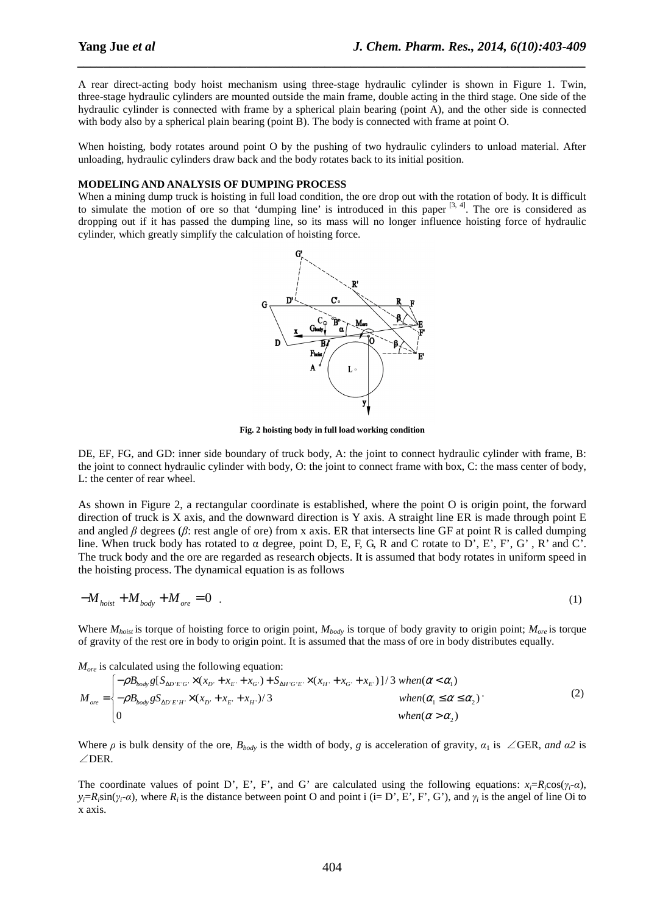A rear direct-acting body hoist mechanism using three-stage hydraulic cylinder is shown in Figure 1. Twin, three-stage hydraulic cylinders are mounted outside the main frame, double acting in the third stage. One side of the hydraulic cylinder is connected with frame by a spherical plain bearing (point A), and the other side is connected with body also by a spherical plain bearing (point B). The body is connected with frame at point O.

*\_\_\_\_\_\_\_\_\_\_\_\_\_\_\_\_\_\_\_\_\_\_\_\_\_\_\_\_\_\_\_\_\_\_\_\_\_\_\_\_\_\_\_\_\_\_\_\_\_\_\_\_\_\_\_\_\_\_\_\_\_\_\_\_\_\_\_\_\_\_\_\_\_\_\_\_\_\_*

When hoisting, body rotates around point O by the pushing of two hydraulic cylinders to unload material. After unloading, hydraulic cylinders draw back and the body rotates back to its initial position.

#### **MODELING AND ANALYSIS OF DUMPING PROCESS**

When a mining dump truck is hoisting in full load condition, the ore drop out with the rotation of body. It is difficult to simulate the motion of ore so that 'dumping line' is introduced in this paper  $[3, 4]$ . The ore is considered as dropping out if it has passed the dumping line, so its mass will no longer influence hoisting force of hydraulic cylinder, which greatly simplify the calculation of hoisting force.



**Fig. 2 hoisting body in full load working condition**

DE, EF, FG, and GD: inner side boundary of truck body, A: the joint to connect hydraulic cylinder with frame, B: the joint to connect hydraulic cylinder with body, O: the joint to connect frame with box, C: the mass center of body, L: the center of rear wheel.

As shown in Figure 2, a rectangular coordinate is established, where the point O is origin point, the forward direction of truck is X axis, and the downward direction is Y axis. A straight line ER is made through point E and angled  $\beta$  degrees ( $\beta$ : rest angle of ore) from x axis. ER that intersects line GF at point R is called dumping line. When truck body has rotated to α degree, point D, E, F, G, R and C rotate to D', E', F', G' , R' and C'. The truck body and the ore are regarded as research objects. It is assumed that body rotates in uniform speed in the hoisting process. The dynamical equation is as follows

$$
-M_{h o i s t} + M_{b o d y} + M_{o r e} = 0 \tag{1}
$$

Where  $M_{hois}$  is torque of hoisting force to origin point,  $M_{body}$  is torque of body gravity to origin point;  $M_{ore}$  is torque of gravity of the rest ore in body to origin point. It is assumed that the mass of ore in body distributes equally.

*More* is calculated using the following equation:

$$
M_{ore} = \begin{cases} -\rho B_{body} g[S_{\Delta D' E' G'} \times (x_{D'} + x_{E'} + x_{G'}) + S_{\Delta H' G' E'} \times (x_{H'} + x_{G'} + x_{E'})]/3 \text{ when } (\alpha < \alpha_1) \\ -\rho B_{body} gS_{\Delta D' E' H'} \times (x_{D'} + x_{E'} + x_{H'})/3 & \text{ when } (\alpha_1 \le \alpha \le \alpha_2) \\ 0 & \text{ when } (\alpha > \alpha_2) \end{cases} \tag{2}
$$

Where  $\rho$  is bulk density of the ore,  $B_{body}$  is the width of body,  $g$  is acceleration of gravity,  $a_1$  is ∠GER, and  $a_2$  is ∠DER.

The coordinate values of point D', E', F', and G' are calculated using the following equations:  $x_i = R_i \cos(\gamma_i - \alpha)$ ,  $y_i = R_i \sin(\gamma_i \cdot a)$ , where  $R_i$  is the distance between point O and point i (i= D', E', F', G'), and  $\gamma_i$  is the angel of line Oi to x axis.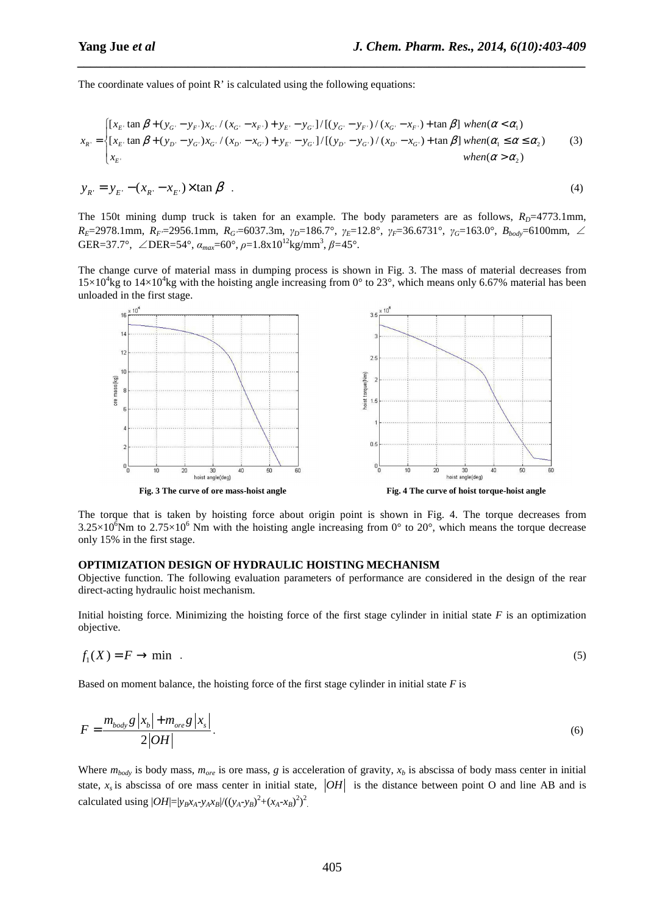The coordinate values of point R' is calculated using the following equations:

$$
x_{R'} = \begin{cases} [x_{E'} \tan \beta + (y_{G'} - y_{F'})x_{G'} / (x_{G'} - x_{F'}) + y_{E'} - y_{G'}]/[(y_{G'} - y_{F'}) / (x_{G'} - x_{F'}) + \tan \beta] \text{ when } (\alpha < \alpha_1) \\ [x_{E'} \tan \beta + (y_{D'} - y_{G'})x_{G'} / (x_{D'} - x_{G'}) + y_{E'} - y_{G'}]/[(y_{D'} - y_{G'}) / (x_{D'} - x_{G'}) + \tan \beta] \text{ when } (\alpha_1 \le \alpha \le \alpha_2) \\ x_{E'} & \text{ when } (\alpha > \alpha_2) \end{cases} \tag{3}
$$

*\_\_\_\_\_\_\_\_\_\_\_\_\_\_\_\_\_\_\_\_\_\_\_\_\_\_\_\_\_\_\_\_\_\_\_\_\_\_\_\_\_\_\_\_\_\_\_\_\_\_\_\_\_\_\_\_\_\_\_\_\_\_\_\_\_\_\_\_\_\_\_\_\_\_\_\_\_\_*

$$
y_{R'} = y_{E'} - (x_{R'} - x_{E'}) \times \tan \beta
$$
 (4)

The 150t mining dump truck is taken for an example. The body parameters are as follows,  $R_D=4773.1$ mm, *RE*=2978.1mm, *RF'*=2956.1mm, *RG'*=6037.3m, *γD*=186.7°, *γE*=12.8°, *γF*=36.6731°, *γG*=163.0°, *Bbody*=6100mm, ∠  $GER=37.7^{\circ}, \angle DER=54^{\circ}, \alpha_{max}=60^{\circ}, \rho=1.8x10^{12}kg/mm^3, \beta=45^{\circ}.$ 

The change curve of material mass in dumping process is shown in Fig. 3. The mass of material decreases from  $15\times10^4$ kg to  $14\times10^4$ kg with the hoisting angle increasing from 0° to 23°, which means only 6.67% material has been unloaded in the first stage.



The torque that is taken by hoisting force about origin point is shown in Fig. 4. The torque decreases from  $3.25\times10^6$ Nm to  $2.75\times10^6$  Nm with the hoisting angle increasing from 0° to 20°, which means the torque decrease only 15% in the first stage.

#### **OPTIMIZATION DESIGN OF HYDRAULIC HOISTING MECHANISM**

Objective function. The following evaluation parameters of performance are considered in the design of the rear direct-acting hydraulic hoist mechanism.

Initial hoisting force. Minimizing the hoisting force of the first stage cylinder in initial state *F* is an optimization objective.

$$
f_1(X) = F \to \min \quad . \tag{5}
$$

Based on moment balance, the hoisting force of the first stage cylinder in initial state *F* is

$$
F = \frac{m_{body}g\left|x_b\right| + m_{ore}g\left|x_s\right|}{2|OH|}.\tag{6}
$$

Where  $m_{body}$  is body mass,  $m_{ore}$  is ore mass, *g* is acceleration of gravity,  $x_b$  is abscissa of body mass center in initial state,  $x<sub>s</sub>$  is abscissa of ore mass center in initial state,  $|OH|$  is the distance between point O and line AB and is calculated using  $|OH|=|y_Bx_A-y_Ax_B|/((y_A-y_B)^2+(x_A-x_B)^2)^2$ .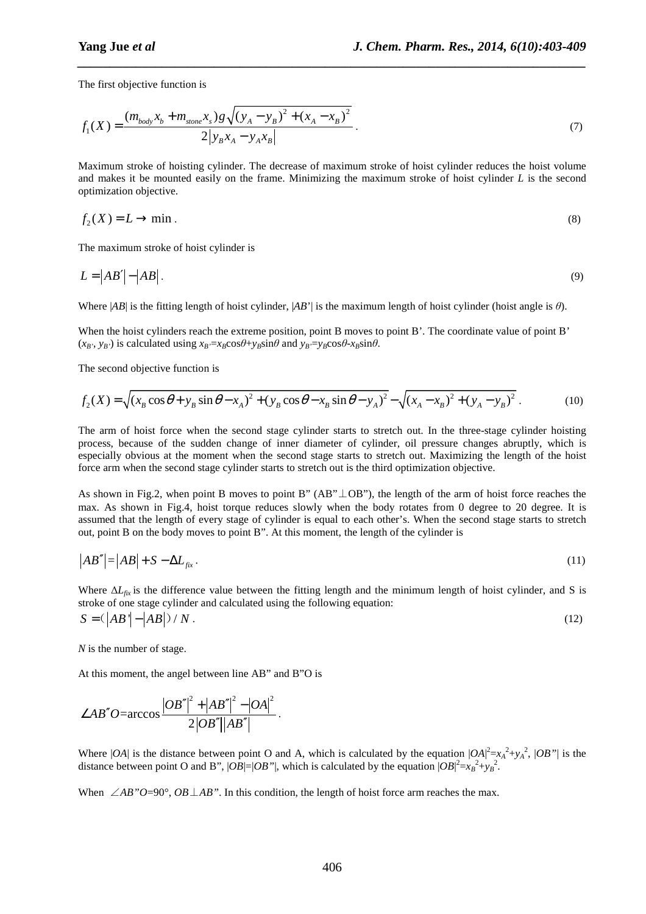The first objective function is

$$
f_1(X) = \frac{(m_{body}x_b + m_{stone}x_s)g\sqrt{(y_A - y_B)^2 + (x_A - x_B)^2}}{2|y_Bx_A - y_Ax_B|}.
$$
\n(7)

*\_\_\_\_\_\_\_\_\_\_\_\_\_\_\_\_\_\_\_\_\_\_\_\_\_\_\_\_\_\_\_\_\_\_\_\_\_\_\_\_\_\_\_\_\_\_\_\_\_\_\_\_\_\_\_\_\_\_\_\_\_\_\_\_\_\_\_\_\_\_\_\_\_\_\_\_\_\_*

Maximum stroke of hoisting cylinder. The decrease of maximum stroke of hoist cylinder reduces the hoist volume and makes it be mounted easily on the frame. Minimizing the maximum stroke of hoist cylinder *L* is the second optimization objective.

$$
f_2(X) = L \to \min. \tag{8}
$$

The maximum stroke of hoist cylinder is

$$
L = |AB'| - |AB| \tag{9}
$$

Where |*AB*| is the fitting length of hoist cylinder, |*AB*'| is the maximum length of hoist cylinder (hoist angle is *θ*).

When the hoist cylinders reach the extreme position, point B moves to point B'. The coordinate value of point B'  $(x_B, y_B)$  is calculated using  $x_B = x_B \cos\theta + y_B \sin\theta$  and  $y_B = y_B \cos\theta - x_B \sin\theta$ .

The second objective function is

$$
f_2(X) = \sqrt{(x_B \cos \theta + y_B \sin \theta - x_A)^2 + (y_B \cos \theta - x_B \sin \theta - y_A)^2} - \sqrt{(x_A - x_B)^2 + (y_A - y_B)^2}
$$
 (10)

The arm of hoist force when the second stage cylinder starts to stretch out. In the three-stage cylinder hoisting process, because of the sudden change of inner diameter of cylinder, oil pressure changes abruptly, which is especially obvious at the moment when the second stage starts to stretch out. Maximizing the length of the hoist force arm when the second stage cylinder starts to stretch out is the third optimization objective.

As shown in Fig.2, when point B moves to point B" (AB"⊥OB"), the length of the arm of hoist force reaches the max. As shown in Fig.4, hoist torque reduces slowly when the body rotates from 0 degree to 20 degree. It is assumed that the length of every stage of cylinder is equal to each other's. When the second stage starts to stretch out, point B on the body moves to point B". At this moment, the length of the cylinder is

$$
|AB''| = |AB| + S - \Delta L_{fix}.
$$
\n<sup>(11)</sup>

Where ∆*Lfix* is the difference value between the fitting length and the minimum length of hoist cylinder, and S is stroke of one stage cylinder and calculated using the following equation:  $S = (\vert AB \vert - \vert AB \vert) / N$ . (12)

*N* is the number of stage.

At this moment, the angel between line AB" and B"O is

$$
\angle AB''O=\arccos\frac{|OB''|^2+|AB''|^2-|OA|^2}{2|OB''||AB''|}.
$$

Where  $|OA|$  is the distance between point O and A, which is calculated by the equation  $|OA|^2 = x_A^2 + y_A^2$ ,  $|OB''|$  is the distance between point O and B",  $|OB| = |OB''|$ , which is calculated by the equation  $|OB|^2 = x_B^2 + y_B^2$ .

When ∠*AB"O*=90°, *OB*⊥*AB"*. In this condition, the length of hoist force arm reaches the max.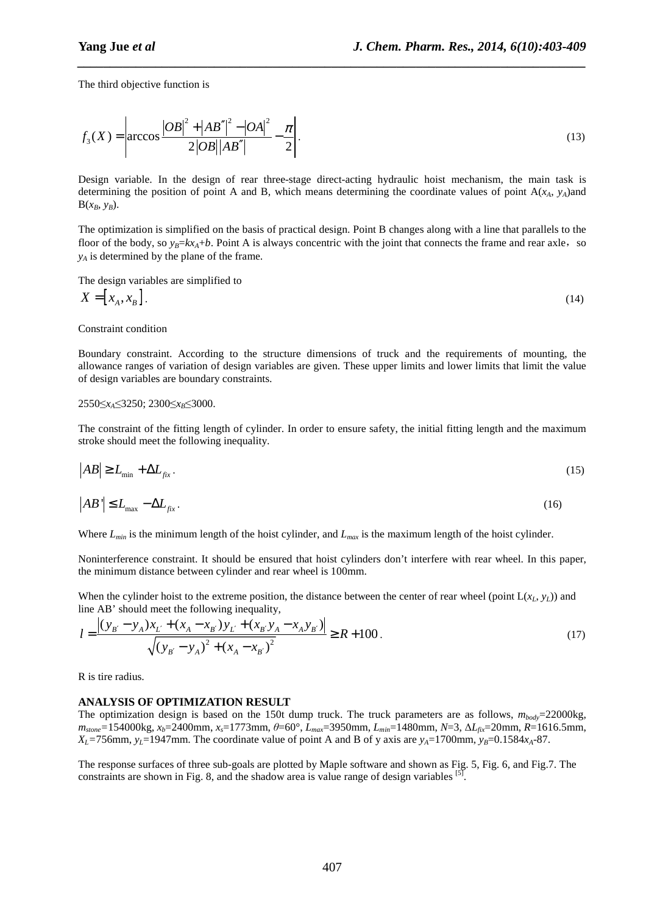The third objective function is

$$
f_3(X) = \left| \arccos \frac{|OB|^2 + |AB''|^2 - |OA|^2}{2|OB||AB''|} - \frac{\pi}{2} \right|.
$$
 (13)

*\_\_\_\_\_\_\_\_\_\_\_\_\_\_\_\_\_\_\_\_\_\_\_\_\_\_\_\_\_\_\_\_\_\_\_\_\_\_\_\_\_\_\_\_\_\_\_\_\_\_\_\_\_\_\_\_\_\_\_\_\_\_\_\_\_\_\_\_\_\_\_\_\_\_\_\_\_\_*

Design variable. In the design of rear three-stage direct-acting hydraulic hoist mechanism, the main task is determining the position of point A and B, which means determining the coordinate values of point  $A(x_4, y_4)$  and  $B(x_B, y_B)$ .

The optimization is simplified on the basis of practical design. Point B changes along with a line that parallels to the floor of the body, so  $y_B = kx_A + b$ . Point A is always concentric with the joint that connects the frame and rear axle, so *yA* is determined by the plane of the frame.

The design variables are simplified to

$$
X = [x_A, x_B]. \tag{14}
$$

Constraint condition

Boundary constraint. According to the structure dimensions of truck and the requirements of mounting, the allowance ranges of variation of design variables are given. These upper limits and lower limits that limit the value of design variables are boundary constraints.

#### 2550≤*xA*≤3250; 2300≤*xB*≤3000.

The constraint of the fitting length of cylinder. In order to ensure safety, the initial fitting length and the maximum stroke should meet the following inequality.

$$
|AB| \ge L_{\min} + \Delta L_{fix} \tag{15}
$$

$$
\left|AB'\right| \le L_{\text{max}} - \Delta L_{fix} \tag{16}
$$

Where *Lmin* is the minimum length of the hoist cylinder, and *Lmax* is the maximum length of the hoist cylinder.

Noninterference constraint. It should be ensured that hoist cylinders don't interfere with rear wheel. In this paper, the minimum distance between cylinder and rear wheel is 100mm.

When the cylinder hoist to the extreme position, the distance between the center of rear wheel (point  $L(x_L, y_L)$ ) and line AB' should meet the following inequality,

$$
l = \frac{\left| (y_{B'} - y_A)x_{L'} + (x_A - x_{B'})y_{L'} + (x_{B'}y_A - x_Ay_{B'}) \right|}{\sqrt{\left( y_{B'} - y_A \right)^2 + \left( x_A - x_{B'} \right)^2}} \ge R + 100. \tag{17}
$$

R is tire radius.

#### **ANALYSIS OF OPTIMIZATION RESULT**

The optimization design is based on the 150t dump truck. The truck parameters are as follows,  $m_{body}=22000$ kg, *mstone=*154000kg, *xb*=2400mm, *xs*=1773mm, *θ*=60°, *Lmax*=3950mm, *Lmin*=1480mm, *N*=3, ∆*Lfix*=20mm, *R*=1616.5mm, *X*<sub>L</sub>=756mm, *y*<sub>L</sub>=1947mm. The coordinate value of point A and B of y axis are *y*<sub>A</sub>=1700mm, *y*<sub>B</sub>=0.1584*x*<sub>A</sub>-87.

The response surfaces of three sub-goals are plotted by Maple software and shown as Fig. 5, Fig. 6, and Fig.7. The constraints are shown in Fig. 8, and the shadow area is value range of design variables  $[5]$ .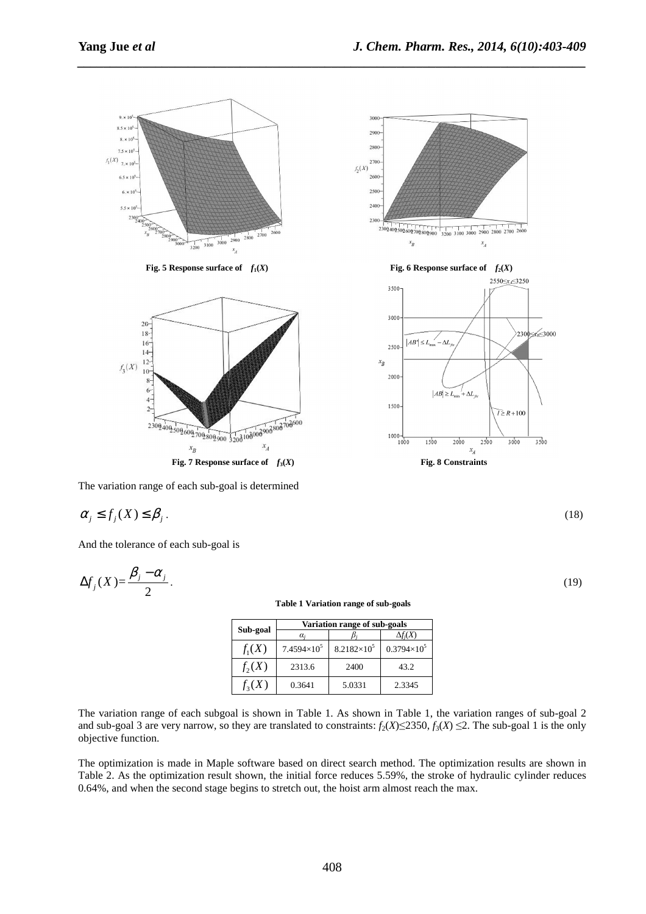

*\_\_\_\_\_\_\_\_\_\_\_\_\_\_\_\_\_\_\_\_\_\_\_\_\_\_\_\_\_\_\_\_\_\_\_\_\_\_\_\_\_\_\_\_\_\_\_\_\_\_\_\_\_\_\_\_\_\_\_\_\_\_\_\_\_\_\_\_\_\_\_\_\_\_\_\_\_\_*

The variation range of each sub-goal is determined

$$
\alpha_j \le f_j(X) \le \beta_j \,. \tag{18}
$$

And the tolerance of each sub-goal is

$$
\Delta f_j(X) = \frac{\beta_j - \alpha_j}{2}.\tag{19}
$$

**Table 1 Variation range of sub-goals** 

| Sub-goal   | Variation range of sub-goals |                      |                      |  |  |  |  |
|------------|------------------------------|----------------------|----------------------|--|--|--|--|
|            | $\alpha_i$                   |                      | $\Delta f_i(X)$      |  |  |  |  |
| $f_1(X)$   | $7.4594\times10^{5}$         | $8.2182\times10^{5}$ | $0.3794\times10^{5}$ |  |  |  |  |
| $f_2(X)$   | 2313.6                       | 2400                 | 43.2                 |  |  |  |  |
| $f_{3}(X)$ | 0.3641                       | 5.0331               | 2.3345               |  |  |  |  |

The variation range of each subgoal is shown in Table 1. As shown in Table 1, the variation ranges of sub-goal 2 and sub-goal 3 are very narrow, so they are translated to constraints:  $f_2(X) \le 2350$ ,  $f_3(X) \le 2$ . The sub-goal 1 is the only objective function.

The optimization is made in Maple software based on direct search method. The optimization results are shown in Table 2. As the optimization result shown, the initial force reduces 5.59%, the stroke of hydraulic cylinder reduces 0.64%, and when the second stage begins to stretch out, the hoist arm almost reach the max.